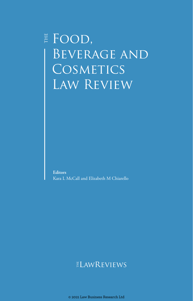# $\overset{\scriptscriptstyle \pm}{\text{\small E}}$  FOOD, BEVERAGE AND COSMETICS Law Review

**Editors** Kara L McCall and Elizabeth M Chiarello

## ELAWREVIEWS

© 2021 Law Business Research Ltd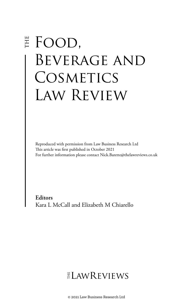# **E** FOOD, BEVERAGE AND COSMETICS Law Review

Reproduced with permission from Law Business Research Ltd This article was first published in October 2021 For further information please contact Nick.Barette@thelawreviews.co.uk

**Editors** Kara L McCall and Elizabeth M Chiarello

# $ELMR$  EVIEWS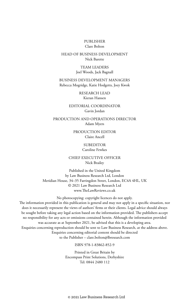#### PUBLISHER Clare Bolton

#### HEAD OF BUSINESS DEVELOPMENT Nick Barette

TEAM LEADERS Joel Woods, Jack Bagnall

BUSINESS DEVELOPMENT MANAGERS Rebecca Mogridge, Katie Hodgetts, Joey Kwok

> RESEARCH LEAD Kieran Hansen

EDITORIAL COORDINATOR Gavin Jordan

PRODUCTION AND OPERATIONS DIRECTOR Adam Myers

> PRODUCTION EDITOR Claire Ancell

> > **SUBEDITOR**

Caroline Fewkes

CHIEF EXECUTIVE OFFICER Nick Brailey

Published in the United Kingdom by Law Business Research Ltd, London Meridian House, 34–35 Farringdon Street, London, EC4A 4HL, UK © 2021 Law Business Research Ltd www.TheLawReviews.co.uk

No photocopying: copyright licences do not apply. The information provided in this publication is general and may not apply in a specific situation, nor does it necessarily represent the views of authors' firms or their clients. Legal advice should always be sought before taking any legal action based on the information provided. The publishers accept no responsibility for any acts or omissions contained herein. Although the information provided was accurate as at September 2021, be advised that this is a developing area. Enquiries concerning reproduction should be sent to Law Business Research, at the address above. Enquiries concerning editorial content should be directed to the Publisher – clare.bolton@lbresearch.com

ISBN 978-1-83862-852-9

Printed in Great Britain by Encompass Print Solutions, Derbyshire Tel: 0844 2480 112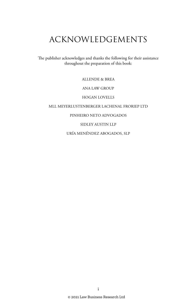# ACKNOWLEDGEMENTS

The publisher acknowledges and thanks the following for their assistance throughout the preparation of this book:

ALLENDE & BREA

ANA LAW GROUP

HOGAN LOVELLS

MLL MEYERLUSTENBERGER LACHENAL FRORIEP LTD

#### PINHEIRO NETO ADVOGADOS

SIDLEY AUSTIN LLP

URÍA MENÉNDEZ ABOGADOS, SLP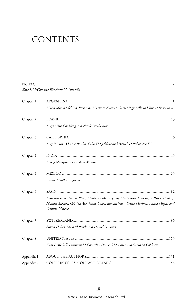# CONTENTS

|            | Kara L McCall and Elizabeth M Chiarello                                                                                                                                                                      |
|------------|--------------------------------------------------------------------------------------------------------------------------------------------------------------------------------------------------------------|
| Chapter 1  |                                                                                                                                                                                                              |
|            | María Morena del Río, Fernando Martínez Zuviría, Carola Pignatelli and Vanesa Fernández                                                                                                                      |
| Chapter 2  |                                                                                                                                                                                                              |
|            | Angela Fan Chi Kung and Nicole Recchi Aun                                                                                                                                                                    |
| Chapter 3  |                                                                                                                                                                                                              |
|            | Amy P Lally, Adriane Peralta, Celia H Spalding and Patrick D Rubalcava IV                                                                                                                                    |
| Chapter 4  |                                                                                                                                                                                                              |
|            | Anoop Narayanan and Shree Mishra                                                                                                                                                                             |
| Chapter 5  |                                                                                                                                                                                                              |
|            | Cecilia Stahlhut Espinosa                                                                                                                                                                                    |
| Chapter 6  |                                                                                                                                                                                                              |
|            | Francisco Javier García Pérez, Montiano Monteagudo, Marta Rios, Juan Reyes, Patricia Vidal,<br>Manuel Alvarez, Cristina Ayo, Jaime Calvo, Eduard Vila, Violeta Marinas, Yanira Miguel and<br>Cristina Moreno |
| Chapter 7  |                                                                                                                                                                                                              |
|            | Simon Holzer, Michael Reinle and Daniel Donauer                                                                                                                                                              |
| Chapter 8  |                                                                                                                                                                                                              |
|            | Kara L McCall, Elizabeth M Chiarello, Diane C McEnroe and Sarah M Goldstein                                                                                                                                  |
| Appendix 1 |                                                                                                                                                                                                              |
| Appendix 2 |                                                                                                                                                                                                              |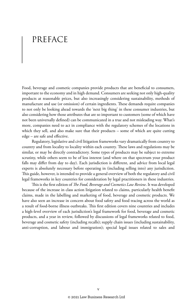# PREFACE

Food, beverage and cosmetic companies provide products that are beneficial to consumers, important to the economy and in high demand. Consumers are seeking not only high-quality products at reasonable prices, but also increasingly considering sustainability, methods of manufacture and use (or omission) of certain ingredients. These demands require companies to not only be looking ahead towards the 'next big thing' in these consumer industries, but also considering how those attributes that are so important to customers (some of which have not been universally defined) can be communicated in a true and not misleading way. What's more, companies need to act in compliance with the regulatory schemes of the locations in which they sell, and also make sure that their products – some of which are quite cutting edge – are safe and effective.

Regulatory, legislative and civil litigation frameworks vary dramatically from country to country and from locality to locality within each country. These laws and regulations may be similar, or may be directly contradictory. Some types of products may be subject to extreme scrutiny, while others seem to be of less interest (and where on that spectrum your product falls may differ from day to day). Each jurisdiction is different, and advice from local legal experts is absolutely necessary before operating in (including selling into) any jurisdiction. This guide, however, is intended to provide a general overview of both the regulatory and civil legal frameworks in key countries for consideration by legal practitioners in these industries.

This is the first edition of *The Food, Beverage and Cosmetics Law Review*. It was developed because of the increase in class action litigation related to claims, particularly health benefit claims, made in the labelling and marketing of food, beverage and cosmetic products. We have also seen an increase in concern about food safety and food tracing across the world as a result of food-borne illness outbreaks. This first edition covers nine countries and includes a high-level overview of each jurisdiction's legal framework for food, beverage and cosmetic products, and a year in review, followed by discussions of legal frameworks related to food, beverage and cosmetic safety (including recalls); supply chain issues (including sustainability, anti-corruption, and labour and immigration); special legal issues related to sales and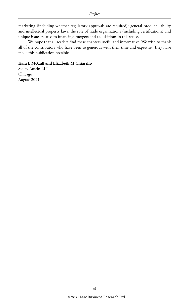marketing (including whether regulatory approvals are required); general product liability and intellectual property laws; the role of trade organisations (including certifications) and unique issues related to financing, mergers and acquisitions in this space.

We hope that all readers find these chapters useful and informative. We wish to thank all of the contributors who have been so generous with their time and expertise. They have made this publication possible.

#### **Kara L McCall and Elizabeth M Chiarello**

Sidley Austin LLP Chicago August 2021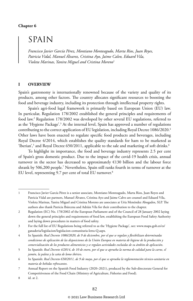#### **Chapter 6**

## SPAIN

*Francisco Javier García Pérez, Montiano Monteagudo, Marta Rios, Juan Reyes, Patricia Vidal, Manuel Álvarez, Cristina Ayo, Jaime Calvo, Eduard Vila, Violeta Marinas, Yanira Miguel and Cristina Moreno*<sup>1</sup>

#### **I OVERVIEW**

Spain's gastronomy is internationally renowned because of the variety and quality of its products, among other factors. The country allocates significant resources to boosting the food and beverage industry, including its protection through intellectual property rights.

Spain's agri-food legal framework is primarily based on European Union (EU) law. In particular, Regulation 178/2002 established the general principles and requirements of food law.2 Regulation 178/2002 was developed by other several EU regulations, referred to as the 'Hygiene Package'.<sup>3</sup> At the internal level, Spain has approved a number of regulations contributing to the correct application of EU legislation, including Royal Decree 1086/2020.4 Other laws have been enacted to regulate specific food products and beverages, including Royal Decree 4/2014, which establishes the quality standards for ham to be marketed as 'Iberian',<sup>5</sup> and Royal Decree 650/2011, applicable to the sale and marketing of soft drinks.<sup>6</sup>

To highlight its importance, the food and beverage industry represents 2.5 per cent of Spain's gross domestic product. Due to the impact of the covid-19 health crisis, annual turnover in the sector has decreased to approximately €130 billion and the labour force shrank by 506,200 people.7 Nevertheless, Spain still ranks fourth in terms of turnover at the EU level, representing 9.7 per cent of total EU turnover.<sup>8</sup>

<sup>1</sup> Francisco Javier García Pérez is a senior associate, Montiano Monteagudo, Marta Rios, Juan Reyes and Patricia Vidal are partners, Manuel Álvarez, Cristina Ayo and Jaime Calvo are counsel and Eduard Vila, Violeta Marinas, Yanira Miguel and Cristina Moreno are associates at Uría Menéndez Abogados, SLP. The authors also thank Patricia Ibárcena and Adrián Vila for their contribution to the chapter.

<sup>2</sup> Regulation (EC) No. 178/2002 of the European Parliament and of the Council of 28 January 2002 laying down the general principles and requirements of food law, establishing the European Food Safety Authority and laying down procedures in matters of food safety.

<sup>3</sup> For the full list of EU Regulations being referred to as the 'Hygiene Package', see: www.mapa.gob.es/es/ ganaderia/legislacion/legislacion-comunitaria-letra-Q.aspx.

<sup>4</sup> In Spanish: *Real Decreto 1086/2020, de 9 de diciembre, por el que se regulan y flexibilizan determinadas condiciones de aplicación de las disposiciones de la Unión Europea en materia de higiene de la producción y comercialización de los productos alimenticios y se regulan actividades excluidas de su ámbito de aplicación*.

<sup>5</sup> In Spanish: *Real Decreto 4/2014, de 10 de enero, por el que se aprueba la norma de calidad para la carne, el jamón, la paleta y la caña de lomo ibéric*o.

<sup>6</sup> In Spanish: *Real Decreto 650/2011, de 9 de mayo, por el que se aprueba la reglamentación técnico-sanitaria en materia de bebidas refrescantes*.

<sup>7</sup> Annual Report on the Spanish Food Industry (2020–2021), produced by the Sub-directorate General for Competitiveness of the Food Chain (Ministry of Agriculture, Fisheries and Food).

<sup>8</sup> id. at 2.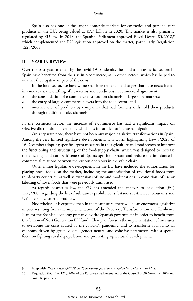Spain also has one of the largest domestic markets for cosmetics and personal-care products in the EU, being valued at  $\epsilon$ 7.7 billion in 2020. This market is also primarily regulated by EU law. In 2018, the Spanish Parliament approved Royal Decree 85/2018,<sup>9</sup> which complemented the EU legislation approved on the matter, particularly Regulation 1223/2009.10

#### **II YEAR IN REVIEW**

Over the past year, marked by the covid-19 pandemic, the food and cosmetics sectors in Spain have benefited from the rise in e-commerce, as in other sectors, which has helped to weather the negative impact of the crisis.

In the food sector, we have witnessed three remarkable changes that have necessitated, in some cases, the drafting of new terms and conditions in commercial agreements:

- *a* the consolidation of e-commerce distribution channels of large supermarkets;
- *b* the entry of large e-commerce players into the food sector; and
- internet sales of products by companies that had formerly only sold their products through traditional sales channels.

In the cosmetics sector, the increase of e-commerce has had a significant impact on selective-distribution agreements, which has in turn led to increased litigation.

On a separate note, there have not been any major legislative transformations in Spain. Among the very limited legislative developments, it is worth highlighting Law 8/2020 of 16 December adopting specific urgent measures in the agriculture and food sectors to improve the functioning and structuring of the food-supply chain, which was designed to increase the efficiency and competitiveness of Spain's agri-food sector and reduce the imbalance in commercial relations between the various operators in the value chain.

Other minor legislative developments in the EU have included the authorisation for placing novel foods on the market, including the authorisation of traditional foods from third-party countries, as well as extensions of use and modifications in conditions of use or labelling of novel foods that were previously authorised.

As regards cosmetics law, the EU has amended the annexes to Regulation (EC) 1223/2009 regarding the list of substances prohibited, substances restricted, colourants and UV filters in cosmetic products.

Nevertheless, it is expected that, in the near future, there will be an enormous legislative impact resulting from the implementation of the Recovery, Transformation and Resilience Plan for the Spanish economy prepared by the Spanish government in order to benefit from €72 billion of Next Generation EU funds. That plan foresees the implementation of measures to overcome the crisis caused by the covid-19 pandemic, and to transform Spain into an economy driven by green, digital, gender-neutral and cohesive parameters, with a special focus on fighting rural depopulation and promoting agricultural development.

<sup>9</sup> In Spanish: *Real Decreto 85/2018, de 23 de febrero, por el que se regulan los productos cosméticos*.

<sup>10</sup> Regulation (EC) No. 1223/2009 of the European Parliament and of the Council of 30 November 2009 on cosmetic products.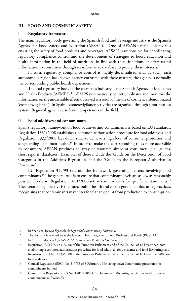#### **III FOOD AND COSMETIC SAFETY**

#### **i Regulatory framework**

The main regulatory body governing the Spanish food and beverage industry is the Spanish Agency for Food Safety and Nutrition (AESAN).<sup>11</sup> One of AESAN's main objectives is ensuring the safety of food products and beverages. AESAN is responsible for coordinating regulatory compliance control and the development of strategies to boost education and health information in the field of nutrition. In line with these functions, it offers useful information to consumers through its informative database to protect their interests.<sup>12</sup>

In turn, regulatory compliance control is highly decentralised and, as such, each autonomous region has its own agency entrusted with these matters; the agency is normally the corresponding public health department.

The lead regulatory body in the cosmetics industry is the Spanish Agency of Medicines and Health Products (AEMPS).13 AEMPS systematically collects, evaluates and monitors the information on the undesirable effects observed as a result of the use of cosmetics (denominated 'cosmetovigilance'). In Spain, cosmetovigilance activities are organised through a notification system. Regional agencies also have competences in the field.

#### **ii Food additives and contaminants**

Spain's regulatory framework on food additives and contaminants is based on EU standards. Regulation 1331/2008 establishes a common authorisation procedure for food additives, and Regulation 1333/2008 lays down rules to achieve a high level of consumer protection and safeguarding of human health.<sup>14</sup> In order to make the corresponding rules more accessible to consumers, AESAN produces an array of resources aimed at consumers (e.g., guides, short reports, databases). Examples of these include the 'Guide on the Description of Food Categories in the Additives Regulation' and the 'Guide to the European Authorisation Procedure'.

EU Regulation 315/93 sets out the framework governing matters involving food contaminants.15 The general rule is to ensure that contaminant levels are as low as reasonably possible. To do so, Regulation 1881/2006 sets maximum levels for specific contaminants.16 The overarching objective is to protect public health and ensure good manufacturing practices, recognising that contaminants may enter food at any point from production to consumption.

<sup>11</sup> In Spanish: *Agencia Española de Seguridad Alimentaria y Nutrición*.

<sup>12</sup> The database is referred to as the General Health Register of Food Business and Foods (RGSEAA).

<sup>13</sup> In Spanish: *Agencia Española de Medicamentos y Productos Sanitarios*.

<sup>14</sup> Regulation (EC) No. 1331/2008 of the European Parliament and of the Council of 16 December 2008 establishing a common authorisation procedure for food additives, food enzymes and food flavourings and Regulation (EC) No. 1333/2008 of the European Parliament and of the Council of 16 December 2008 on food additives.

<sup>15</sup> Council Regulation (EEC) No. 315/93 of 8 February 1993 laying down Community procedures for contaminants in food.

<sup>16</sup> Commission Regulation (EC) No. 1881/2006 of 19 December 2006 setting maximum levels for certain contaminants in foodstuffs.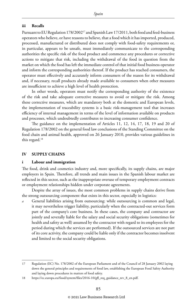#### **iii Recalls**

Pursuant to EU Regulation 178/2002<sup>17</sup> and Spanish Law 17/2011, both food and feed-business operators who believe, or have reasons to believe, that a food which it has imported, produced, processed, manufactured or distributed does not comply with food-safety requirements or, in particular, appears to be unsafe, must immediately communicate to the corresponding authorities the specific risk of the food product and commence any procedures or corrective actions to mitigate that risk, including the withdrawal of the food in question from the market on which the food has left the immediate control of that initial food business operator and inform the corresponding authorities thereof. If the product has reached consumers, the operator must effectively and accurately inform consumers of the reason for its withdrawal and, if necessary, recall products already made available to consumers when other measures are insufficient to achieve a high level of health protection.

In other words, operators must notify the corresponding authority of the existence of the risk and take adequate corrective measures to avoid or mitigate the risk. Among these corrective measures, which are mandatory both at the domestic and European levels, the implementation of traceability systems is a basic risk-management tool that increases efficiency of internal management in terms of the level of information available on products and processes, which undoubtedly contributes to increasing consumer confidence.

The guidance on the implementation of Articles 11, 12, 14, 17, 18, 19 and 20 of Regulation 178/2002 on the general food law conclusions of the Standing Committee on the food chain and animal health, approved on 26 January 2010, provides various guidelines in this regard.<sup>18</sup>

#### **IV SUPPLY CHAINS**

#### **i Labour and immigration**

The food, drink and cosmetics industry and, more specifically, its supply chains, are major employers in Spain. Therefore, all trends and main issues in the Spanish labour market are reflected in this sector, such as the inappropriate overuse of temporary employment contracts or employment relationships hidden under corporate agreements.

Despite the array of issues, the most common problems in supply chains derive from the strong outsourcing component that exists in this sector, especially in logistics:

*a* General liabilities arising from outsourcing: while outsourcing is common and legal, it may nevertheless trigger liability, particularly when the contracted-out services form part of the company's core business. In these cases, the company and contractor are jointly and severally liable for the salary and social security obligations (sometimes for health and safety as well) assumed by the contractor with regard to its employees for the period during which the services are performed). If the outsourced services are not part of its core activity, the company could be liable only if the contractor becomes insolvent and limited to the social security obligations.

<sup>17</sup> Regulation (EC) No. 178/2002 of the European Parliament and of the Council of 28 January 2002 laying down the general principles and requirements of food law, establishing the European Food Safety Authority and laying down procedures in matters of food safety.

<sup>18</sup> https://ec.europa.eu/food/system/files/2016-10/gfl\_req\_guidance\_rev\_8\_en.pdf.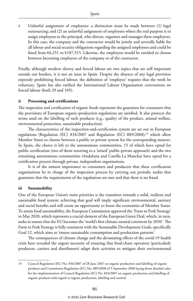*b* Unlawful assignment of employees: a distinction must be made between (1) legal outsourcing; and (2) an unlawful assignment of employees where the real purpose is to assign employees to the principal, who directs, organises and manages these employees. In this case, the company and the contractor would be jointly and severally liable for all labour and social security obligations regarding the assigned employees and could be fined from  $6,251$  to  $6187,515$ . Likewise, the employees would be entitled to choose between becoming employees of the company or of the contractor.

Finally, although modern slavery and forced labour are two topics that are still important outside our borders, it is not an issue in Spain. Despite the absence of any legal provision expressly prohibiting forced labour, the definition of 'employee' requires that the work be voluntary. Spain has also ratified the International Labour Organisation conventions on forced labour (both 29 and 105).

#### **ii Processing and certifications**

The inspection and certification of organic foods represents the guarantee for consumers that the provisions of European organic-production regulations are satisfied. It also protects the terms used on the labelling of such products (e.g., quality of the product, animal welfare, environmental protection, sustainable production).

The characteristics of the inspection-and-certification system are set out in European regulations (Regulation (EC)  $834/2007$  and Regulation (EC)  $889/2008$ ),<sup>19</sup> which allow Member States to choose between a public or private system for the corresponding matters. In Spain, the choice is left to the autonomous communities, 15 of which have opted for public certification (two of them resorting to a 'mixed' public-private approach) and the two remaining autonomous communities (Andalusia and Castilla La Mancha) have opted for a certification process through private, independent organisations.

It is of the utmost importance to consumers and producers that these certification organisations be in charge of the inspection process by carrying out periodic audits that guarantee that the requirements of the regulations are met and that there is no fraud.

#### **iii Sustainability**

One of the European Union's main priorities is the transition towards a solid, resilient and sustainable food system; achieving that goal will imply significant environmental, sanitary and social benefits and will create an opportunity to boost the economies of Member States. To attain food sustainability, the European Commission approved the 'Farm to Fork Strategy' in May 2020, which represents a crucial element of the European Green Deal, which, in turn, seeks to ensure that the EU becomes the 'world's first climate-neutral continent by 2050'. The Farm to Fork Strategy is fully consistent with the Sustainable Development Goals, specifically Goal 12, which aims to 'ensure sustainable consumption and production patterns'.

The consequences of climate change and the devastating effects of the covid-19 health crisis have revealed the urgent necessity of ensuring that food-chain operators (particularly producers, carriers and distributors) adapt their activities to mitigate their environmental

<sup>19</sup> Council Regulation (EC) No. 834/2007 of 28 June 2007 on organic production and labelling of organic products and Commission Regulation (EC) No. 889/2008 of 5 September 2008 laying down detailed rules for the implementation of Council Regulation (EC) No. 834/2007 on organic production and labelling of organic products with regard to organic production, labelling and control.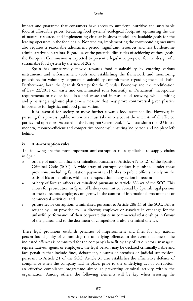impact and guarantee that consumers have access to sufficient, nutritive and sustainable food at affordable prices. Reducing food systems' ecological footprint, optimising the use of natural resources and implementing circular business models are laudable goals for the leading operators in the food chain. Nonetheless, implementing the corresponding measures also requires a reasonable adjustment period, significant resources and less burdensome administrative constraints. Regardless of the potential difficulties of achieving of those goals, the European Commission is expected to present a legislative proposal for the design of a sustainable food system by the end of 2023.

Spain has unreservedly moved towards food sustainability by enacting various instruments and self-assessment tools and establishing the framework and monitoring procedures for voluntary corporate sustainability commitments regarding the food chain. Furthermore, both the Spanish Strategy for the Circular Economy and the modification of Law 22/2011 on waste and contaminated soils (currently in Parliament) incorporate requirements to reduce food loss and waste and increase food recovery, while limiting and penalising single-use plastics – a measure that may prove controversial given plastic's importance for logistics and food preservation.

It is essential for society to move further towards food sustainability. However, in pursuing this process, public authorities must take into account the interests of all affected parties and operators. As stated in the European Green Deal, it 'will transform the EU into a modern, resource-efficient and competitive economy', ensuring 'no person and no place left behind'.

#### **iv Anti-corruption rules**

The following are the most important anti-corruption rules applicable to supply chains in Spain:

- *a* bribery of national officers, criminalised pursuant to Articles 419 to 427 of the Spanish Criminal Code (SCC). A wide array of corrupt conduct is punished under these provisions, including facilitation payments and bribes to public officers merely on the basis of his or her office, without the expectation of any action in return;
- *b* bribery of foreign officers, criminalised pursuant to Article 286 *ter* of the SCC. This allows for prosecution in Spain of bribery committed abroad by Spanish legal persons or their directors, employees or agents, in the context of international procurement or commercial activities; and
- *c* private-sector corruption, criminalised pursuant to Article 286 *bis* of the SCC. Bribes sought by – or provided to – a director, employee or associate in exchange for the unlawful performance of their corporate duties in commercial relationships in favour of the grantor and to the detriment of competitors is also a criminal offence.

These legal provisions establish penalties of imprisonment and fines for any natural person found guilty of committing the underlying offence. In the event that one of the indicated offences is committed for the company's benefit by any of its directors, managers, representatives, agents or employees, the legal person may be declared criminally liable and face penalties that include fines, debarment, closures of premises or judicial supervision, pursuant to Article 31 of the SCC. Article 31 also establishes the affirmative defence of compliance when the company had in place, prior to the underlying act of corruption, an effective compliance programme aimed at preventing criminal activity within the organisation. Among others, the following elements will be key when assessing the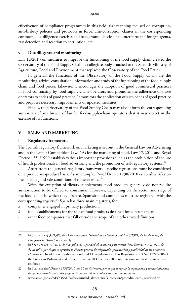effectiveness of compliance programmes in this field: risk-mapping focused on corruption, anti-bribery policies and protocols in force, anti-corruption clauses in the corresponding contracts, due-diligence exercises and background checks of counterparts and foreign agents, fast detection and reaction to corruption, etc.

#### **v Due diligence and monitoring**

Law 12/2013 on measures to improve the functioning of the food supply chain created the Observatory of the Food Supply Chain, a collegiate body attached to the Spanish Ministry of Agriculture, Food and Environment that replaced the Observatory of the Food Prices.

In general, the functions of the Observatory of the Food Supply Chain are the monitoring, advice, consultation, information and study of the functioning of the food-supply chain and food prices. Likewise, it encourages the adoption of good commercial practices in food contracting by food-supply-chain operators and promotes the adherence of those operators to codes of good practice. It monitors the application of such codes of good practice and proposes necessary improvements or updated measures.

Finally, the Observatory of the Food Supply Chain may also inform the corresponding authorities of any breach of law by food-supply-chain operators that it may detect in the exercise of its functions.

#### **V SALES AND MARKETING**

#### **i Regulatory framework**

The Spanish regulatory framework on marketing is set out in the General Law on Advertising and in the Unfair Competition Law.20 As for the marketing of food, Law 17/2011 and Royal Decree 1334/1999 establish various important provisions such as the prohibition of the use of health professionals in food advertising and the promotion of self-regulatory systems.<sup>21</sup>

Apart from the general regulatory framework, specific regulations must be considered on a product-to-product basis. As an example, Royal Decree 1798/2010 establishes rules on the labelling and sale conditions of mineral water.<sup>22</sup>

With the exception of dietary supplements, food products generally do not require authorisation to be offered to consumers. However, depending on the sector and stage of the food chain in which they operate, Spanish food companies must be registered with the corresponding registry.23 Spain has three main registries, for:

- *a* companies engaged in primary production;
- *b* food establishments for the sale of food products destined for consumers; and
- *c* other food companies that fall outside the scope of the other two definitions.

23 www.aesan.gob.es/AECOSAN/web/seguridad\_alimentaria/subseccion/procedimientos\_registro.htm.

<sup>20</sup> In Spanish: *Ley 34/1988, de 11 de noviembre, General de Publicidad and Ley 3/1991, de 10 de enero, de Competencia Desleal*, respectively.

<sup>21</sup> In Spanish: *Ley 17/2011, de 5 de julio, de seguridad alimentaria y nutrición, Real Decreto 1334/1999, de 31 de julio, por el que se aprueba la Norma general de etiquetado, presentación y publicidad de los productos alimenticios*. In addition to other national and EU regulations such as Regulation (EC) No. 1924/2006 of the European Parliament and of the Council of 20 December 2006 on nutrition and health claims made on foods.

<sup>22</sup> In Spanish: *Real Decreto 1798/2010, de 30 de diciembre, por el que se regula la explotación y comercialización de aguas minerales naturales y aguas de manantial envasadas para consumo humano*.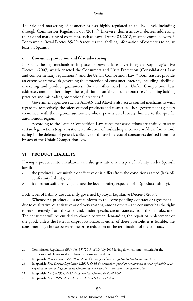The sale and marketing of cosmetics is also highly regulated at the EU level, including through Commission Regulation 655/2013.24 Likewise, domestic royal decrees addressing the sale and marketing of cosmetics, such as Royal Decree 85/2018, must be complied with.25 For example, Royal Decree 85/2018 requires the labelling information of cosmetics to be, at least, in Spanish.

#### **ii Consumer protection and false advertising**

In Spain, the key mechanisms in place to prevent false advertising are Royal Legislative Decree 1/2007, which enacted the Consumers and Users Protection (Consolidation) Law and complementary regulations,<sup>26</sup> and the Unfair Competition Law.<sup>27</sup> Both statutes provide an extensive framework governing the protection of consumer interests, including labelling, marketing and product guarantees. On the other hand, the Unfair Competition Law addresses, among other things, the regulation of unfair consumer practices, including baiting practices and misleading promotional practices.<sup>28</sup>

Government agencies such as AESAN and AEMPS also act as control mechanisms with regard to, respectively, the safety of food products and cosmetics. These government agencies coordinate with the regional authorities, whose powers are, broadly, limited to the specific autonomous region.

According to the Unfair Competition Law, consumer associations are entitled to start certain legal actions (e.g., cessation, rectification of misleading, incorrect or false information) acting in the defence of general, collective or diffuse interests of consumers derived from the breach of the Unfair Competition Law.

#### **VI PRODUCT LIABILITY**

Placing a product into circulation can also generate other types of liability under Spanish law if:

- *a* the product is not suitable or effective or it differs from the conditions agreed (lack-ofconformity liability); or
- *b* it does not sufficiently guarantee the level of safety expected of it (product liability).

Both types of liability are currently governed by Royal Legislative Decree 1/2007.

Whenever a product does not conform to the corresponding contract or agreement – due to qualitative, quantitative or delivery reasons, among others – the consumer has the right to seek a remedy from the seller and, under specific circumstances, from the manufacturer. The consumer will be entitled to choose between demanding the repair or replacement of the good, unless the latter is disproportionate. If either of these possibilities is feasible, the consumer may choose between the price reduction or the termination of the contract.

27 In Spanish: *Ley 34/1988, de 11 de noviembre, General de Publicidad*.

<sup>24</sup> Commission Regulation (EU) No. 655/2013 of 10 July 2013 laying down common criteria for the justification of claims used in relation to cosmetic products.

<sup>25</sup> In Spanish: *Real Decreto 85/2018, de 23 de febrero, por el que se regulan los productos cosméticos*.

<sup>26</sup> In Spanish: *Real Decreto Legislativo 1/2007, de 16 de noviembre, por el que se aprueba el texto refundido de la Ley General para la Defensa de los Consumidores y Usuarios y otras leyes complementarias*.

<sup>28</sup> In Spanish: *Ley 3/1991, de 10 de enero, de Competencia Desleal*.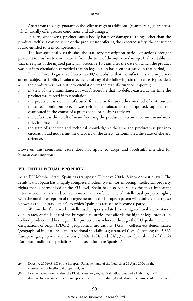Apart from this legal guarantee, the seller may grant additional (commercial) guarantees, which usually offer greater conditions and advantages.

In turn, whenever a product causes bodily harm or damage to things other than the product itself as a consequence of the product not offering the expected safety, the consumer is also entitled to seek compensation.

The law specifically establishes the statutory prescription period of actions brought pursuant to this law to three years as from the time of the injury or damage. It also establishes that the rights of the injured party will prescribe 10 years after the date on which the product was put into circulation (provided that no legal action has been instigated in that period).

Finally, Royal Legislative Decree 1/2007 establishes that manufacturers and importers are not subject to liability insofar as evidence of any of the following circumstances is provided:

- *a* the product was not put into circulation by the manufacturer or importer;
- *b* in view of the circumstances, it was foreseeable that no defect existed at the time the product was placed into circulation;
- *c* the product was not manufactured for sale or for any other method of distribution for an economic purpose, or was neither manufactured nor imported, supplied nor distributed in the course of a professional or business activity;
- *d* the defect was the result of manufacturing the product in accordance with mandatory rules in force; and
- the state of scientific and technical knowledge at the time the product was put into circulation did not permit the discovery of the defect (denominated the 'state-of-the-art' defence).

However, this exemption cause does not apply to drugs and foodstuffs intended for human consumption.

#### **VII INTELLECTUAL PROPERTY**

As an EU Member State, Spain has transposed Directive 2004/48 into domestic law.<sup>29</sup> The result is that Spain has a highly complete, modern system for enforcing intellectual property rights that is harmonised at the EU level. Spain has also adhered to the most important international treaties and conventions on the enforcement of intellectual property rights, with the notable exception of the agreements on the European patent with unitary effect (also known as the Unitary Patent), to which Spain has refused to become a party.

Within this framework, intellectual property related to the agricultural sector stands out. In fact, Spain is one of the European countries that affords the highest legal protection to food products and beverages. This protection is achieved through the EU quality schemes: designations of origin (PDOs), geographical indications (PGIs) – collectively denominated 'geographical indications'– and traditional specialities guaranteed (TSGs). Among the 3,365 European geographical indications (PDOs, PGIs and GIs), 378 are Spanish and of the 68 European traditional specialities guaranteed, four are Spanish.<sup>30</sup>

<sup>29</sup> Directive 2004/48/EC of the European Parliament and of the Council of 29 April 2004 on the enforcement of intellectual property rights.

<sup>30</sup> Data extracted from GIview, the EU database for geographical indications; and eAmbrosia, the EU database for guaranteed traditional specialities: GIview (tmdn.org) and eAmbrosia (europa.eu), respectively.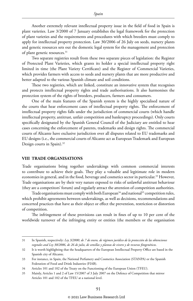Another extremely relevant intellectual property issue in the field of food in Spain is plant varieties. Law 3/2000 of 7 January establishes the legal framework for the protection of plant varieties and the requirements and procedures with which breeders must comply to apply for intellectual property protection. Law 30/2006 of 26 July on seeds, nursery plants and genetic resources sets out the domestic legal system for the management and protection of plant genetic resources.<sup>31</sup>

Two separate registries result from these two separate pieces of legislation: the Register of Protected Plant Varieties, which grants its holder a special intellectual property right limited in time (the Plant Variety Certificate) and the Register of Commercial Varieties, which provides farmers with access to seeds and nursery plants that are more productive and better adapted to the various Spanish climate and soil conditions.

These two registries, which are linked, constitute an innovative system that recognises and protects intellectual property rights and trade authorisations. It also harmonises the protection system of the rights of breeders, producers, farmers and consumers.

One of the main features of the Spanish system is the highly specialised nature of the courts that hear enforcement cases of intellectual property rights. The enforcement of intellectual property rights falls under the jurisdiction of commercial courts (which handle intellectual property, antitrust, unfair competition and bankruptcy proceedings). Only courts specifically designated by the Spanish General Council of the Judiciary are entitled to hear cases concerning the enforcement of patents, trademarks and design rights. The commercial courts of Alicante have exclusive jurisdiction over all disputes related to EU trademarks and EU designs (i.e., the commercial courts of Alicante act as European Trademark and European Design courts in Spain).<sup>32</sup>

#### **VIII TRADE ORGANISATIONS**

Trade organisations bring together undertakings with common commercial interests to contribute to achieve their goals. They play a valuable and legitimate role in modern economies in general, and in the food, beverage and cosmetics sector in particular.<sup>33</sup> However, Trade organisations are by their very nature exposed to risks of unlawful antitrust behaviour (they are a competitors' forum) and regularly attract the attention of competition authorities.

Trade organisations must comply with both European<sup>34</sup> and national<sup>35</sup> competition rules, which prohibit agreements between undertakings, as well as decisions, recommendations and concerted practices that have as their object or effect the prevention, restriction or distortion of competition.

The infringement of these provisions can result in fines of up to 10 per cent of the worldwide turnover of the infringing entity or entities (the members or the organisation

<sup>31</sup> In Spanish, respectively: *Ley 3/2000, de 7 de enero, de régimen jurídico de la protección de las obtenciones vegetales and Ley 30/2006, de 26 de julio, de semillas y plantas de vivero y de recursos fitogenéticos*.

<sup>32</sup> It is worth highlighting that the headquarters of the European Intellectual Property Office are based in the Spanish city of Alicante.

<sup>33</sup> For instance, in Spain, the National Perfumery and Cosmetics Association (STANPA) or the Spanish Federation of Food and Drink Industries (FIAB).

<sup>34</sup> Articles 101 and 102 of the Treaty on the Functioning of the European Union (TFEU).

<sup>35</sup> Mainly, Articles 1 and 2 of Law 15/2007 of 3 July 2007 on the Defence of Competition that mirror Articles 101 and 102 of the TFEU at a national level.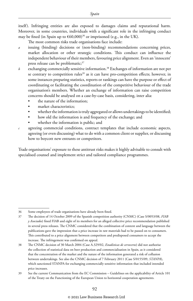itself). Infringing entities are also exposed to damages claims and reputational harm. Moreover, in some countries, individuals with a significant role in the infringing conduct may be fined (in Spain up to  $\epsilon$ 60,000)<sup>36</sup> or imprisoned (e.g., in the UK).

The most common risks trade organisations face include:

- *a* issuing (binding) decisions or (non-binding) recommendations concerning prices, market allocation or other strategic conditions. This conduct can influence the independent behaviour of their members, favouring price alignment. Even an 'innocent' press release can be problematic;<sup>37</sup>
- *b* exchanging commercially sensitive information.38 Exchanges of information are not per se contrary to competition rules<sup>39</sup> as it can have pro-competition effects; however, in some instances preparing statistics, reports or rankings can have the purpose or effect of coordinating or facilitating the coordination of the competitive behaviour of the trade organisation's members. Whether an exchange of information can raise competition concerns should be analysed on a case-by-case basis, considering, inter alia:
	- the nature of the information;
	- market characteristics;
	- whether the information is truly aggregated or allows undertakings to be identified;
	- how old the information is and frequency of the exchange; and
	- whether the information is public; and

*c* agreeing commercial conditions, contract templates that include economic aspects, agreeing (or even discussing) what to do with a common client or supplier, or discussing how to boycott new entrants or competitors.

Trade organisations' exposure to these antitrust risks makes it highly advisable to consult with specialised counsel and implement strict and tailored compliance programmes.

<sup>36</sup> Some employees of trade organisations have already been fined.

<sup>37</sup> The decision of 14 October 2009 of the Spanish competition authority (CNMC) (Case S/0053/08, *FIAB y Asociados*) fined FIAB and eight of its members for an alleged collective price recommendation published in several press releases. The CNMC considered that the combination of content and language between the publications gave the impression that a price increase in raw materials had to be passed on to consumers. This contributed to a price alignment between competitors and predisposed consumers to accept the increase. The infringement was confirmed on appeal.

<sup>38</sup> The CNMC decision of 30 March 2004 (Case A.329/02, *Estadísticas de cerveceros*) did not authorise the collection of statistical data on beer production and commercialisation in Spain, as it considered that the concentration of the market and the nature of the information generated a risk of collusion between undertakings. See also the CNMC decision of 7 February 2011 (Case S/0155/09, *STANPA*), which sanctioned STANPA for exchanging commercially sensitive information that included intended price increases.

<sup>39</sup> See the current Communication from the EC Commission – Guidelines on the applicability of Article 101 of the Treaty on the Functioning of the European Union to horizontal cooperation agreements.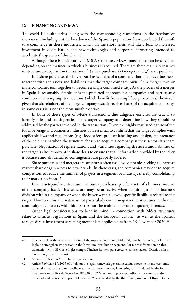#### **IX FINANCING AND M&A**

The covid-19 health crisis, along with the corresponding restrictions on the freedom of movement, including a strict lockdown of the Spanish population, have accelerated the shift to e-commerce in these industries, which, in the short term, will likely lead to increased investment in digitalisation and new technologies and corporate partnering intended to accelerate the growth of this channel.

Although there is a wide array of M&A structures, M&A transactions can be classified depending on the manner in which a business is acquired. There are three main alternatives to structure an acquisition transaction: (1) share purchase; (2) merger; and (3) asset purchase.

In a share purchase, the buyer purchases shares of a company that operates a business, together with the assets and liabilities that the target company owns. In a merger, two or more companies join together to become a single combined entity. As the process of a merger in Spain is reasonably simple, it is the preferred approach for companies and particularly common in intra-group transactions (which benefit from simplified procedures); however, given that shareholders of the target company usually receive shares of the acquirer company, in some cases it is not the most suitable option.

In both of these types of M&A transactions, due diligence exercises are crucial to identify risks and contingencies of the target company and determine how they should be addressed by the parties involved in the transaction. Given the highly regulated nature of the food, beverage and cosmetics industries, it is essential to confirm that the target complies with applicable laws and regulations (e.g., food safety, product labelling and design, maintenance of the cold chain) when the structure chosen to acquire a company in these sectors is a share purchase. Negotiation of representations and warranties regarding the assets and liabilities of the target is also important in share deals to ensure that all information provided by the seller is accurate and all identified contingencies are properly covered.

Share purchases and mergers are structures often used by companies seeking to increase market share or gain access to new brands. In these cases, the companies may opt to acquire competitors to reduce the number of players in a segment or industry, thereby consolidating their market position.<sup>40</sup>

In an asset-purchase structure, the buyer purchases specific assets of a business instead of the company itself. This structure may be attractive when acquiring a single business division within a company or when the buyer wants to avoid specific liabilities related to the target. However, this alternative is not particularly common given that it ensures neither the continuity of contracts with third parties nor the maintenance of compulsory licences.

Other legal considerations to bear in mind in connection with M&A structures relate to antitrust regulations in Spain and the European Union,<sup>41</sup> as well as the Spanish foreign-direct-investment screening mechanism applicable as from 19 November 2020.42

<sup>40</sup> One example is the recent acquisition of the supermarket chain of Madrid, Sánchez Romero, by El Corte Inglés to strengthen its position in the 'premium' distribution segment. For more information on this transaction, visit: El Corte Inglés compra Sánchez Romero para crecer en alimentación | Distribución y Consumo (expansion.com).

<sup>41</sup> See more in Section VIII: 'Trade organisations'.

<sup>42</sup> Article 7 *bis* Law 19/2003 of 4 July on the legal framework governing capital movements and economic transactions abroad and on specific measures to prevent money laundering, as introduced by the fourth final provision of Royal Decree Law 8/2020 of 17 March on urgent extraordinary measures to address the social and economic impact of COVID-19, as amended by the third final provision of Royal Decree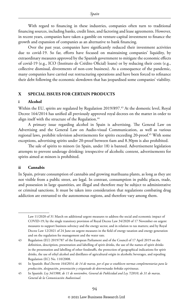With regard to financing in these industries, companies often turn to traditional financing sources, including banks, credit lines, and factoring and lease agreements. However, in recent years, companies have taken a gamble on venture-capital investment to finance the growth and expansion of companies as an alternative to bank financing.

Over the past year, companies have significantly reduced their investment activities due to covid-19. So far, efforts have focused on maintaining companies' liquidity, by extraordinary measures approved by the Spanish government to mitigate the economic effects of covid-19 (e.g., ICO (Instituto de Crédito Oficial) loans) or by reducing their costs (e.g., collective dismissal, divestments of non-core business). As a consequence of the pandemic, many companies have carried out restructuring operations and have been forced to refinance their debt following the economic slowdown that has jeopardised some companies' viability.

#### **X SPECIAL ISSUES FOR CERTAIN PRODUCTS**

#### **i Alcohol**

Within the EU, spirits are regulated by Regulation 2019/897.<sup>43</sup> At the domestic level, Royal Decree 164/2014 has unified all previously approved royal decrees on the matter in order to align itself with the structure of the Regulation.<sup>44</sup>

A primary issue regarding alcohol in Spain is advertising. The General Law on Advertising and the General Law on Audio-visual Communication, as well as various regional laws, prohibit television advertisements for spirits exceeding 20-proof.<sup>45</sup> With some exceptions, advertising spirits under 20-proof between 6am and 8.30pm is also prohibited.

The sale of spirits to minors (in Spain, under 18) is banned. Advertisement legislation attempts to prevent underage drinking: irrespective of alcoholic content, advertisements for spirits aimed at minors is prohibited.

#### **ii Cannabis**

In Spain, private consumption of cannabis and growing marihuana plants, as long as they are not visible from a public street, are legal. In contrast, consumption in public places, trade, and possession in large quantities, are illegal and therefore may be subject to administrative or criminal sanctions. It must be taken into consideration that regulations combating drug addiction are entrusted to the autonomous regions, and therefore vary among them.

Law 11/2020 of 31 March on additional urgent measures to address the social and economic impact of COVID-19; by the single transitory provision of Royal Decree Law 34/2020 of 17 November on urgent measures to support business solvency and the energy sector, and in relation to tax matters; and by Royal Decree Law 12/2021 of 24 June on urgent measures in the field of energy taxation and energy generation and on the regulation fee management and the water rate.

<sup>43</sup> Regulation (EU) 2019/787 of the European Parliament and of the Council of 17 April 2019 on the definition, description, presentation and labelling of spirit drinks, the use of the names of spirit drinks in the presentation and labelling of other foodstuffs, the protection of geographical indications for spirit drinks, the use of ethyl alcohol and distillates of agricultural origin in alcoholic beverages, and repealing Regulation (EC) No. 110/2008.

<sup>44</sup> In Spanish: *Real Decreto 164/2014, de 14 de marzo, por el que se establecen normas complementarias para la producción, designación, presentación y etiquetado de determinadas bebidas espirituosas*.

<sup>45</sup> In Spanish: *Ley 34/1988, de 11 de noviembre, General de Publicidad and Ley 7/2010, de 31 de marzo, General de la Comunicación Audiovisual*.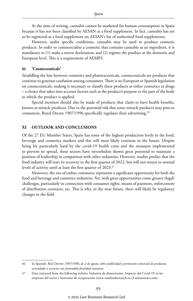At the time of writing, cannabis cannot be marketed for human consumption in Spain because it has not been classified by AESAN as a food supplement. In fact, cannabis has yet to be registered as a food supplement on AESAN's list of authorised food supplements.

However, under specific conditions, cannabis may be used to produce cosmetic products. In order to commercialise a cosmetic that contains cannabis as an ingredient, it is mandatory to (1) make a sworn declaration; and (2) register the product at the domestic and European level. This is a requirement of AEMPS.

#### **iii 'Cosmeceuticals'**

Straddling the line between cosmetics and pharmaceuticals, cosmeceuticals are products that continue to generate confusion among consumers. There is no European or Spanish legislation on cosmeceuticals, making it necessary to classify these products as either cosmetics or drugs – a choice that takes into account factors such as the product's purpose or the part of the body to which the product is applied.

Special mention should also be made of products that claim to have health benefits, known as miracle products. Due to the potential risk that some miracle products may pose to consumers, Royal Decree 1907/1996 specifically regulates their advertising.<sup>46</sup>

#### **XI OUTLOOK AND CONCLUSIONS**

Of the 27 EU Member States, Spain has some of the highest production levels in the food, beverage and cosmetics markets and this will most likely continue in the future. Despite being hit particularly hard by the covid-19 health crisis and the measures implemented to prevent its spread, these sectors have nevertheless shown great potential to maintain a position of leadership in comparison with other industries. However, studies predict that the food industry will start its recovery in the first quarter of 2022, but will not return to normal levels of activity until at least the first quarter of 2023.<sup>47</sup>

Moreover, the rise of online commerce represents a significant opportunity for both the food and beverage and cosmetics industries. Yet, with great opportunities come greater (legal) challenges, particularly in connection with consumer rights, means of payment, enforcement of distribution contracts, etc. This is why, in the near future, there will likely be regulatory changes in the field.

<sup>46</sup> In Spanish: *Real Decreto 1907/1996, de 2 de agosto, sobre publicidad y promoción comercial de productos, actividades o servicios con pretendida finalidad sanitaria*.

<sup>47</sup> Data extracted from the following website: Industria de alimentación. Impacto del Covid-19 en las empresas del sector y horizonte de recuperación (www-randstadresearch-es.s3.amazonaws.com).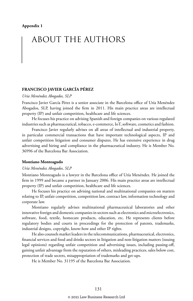# ABOUT THE AUTHORS

#### **FRANCISCO JAVIER GARCÍA PÉREZ**

#### *Uría Menéndez Abogados, SLP*

Francisco Javier García Pérez is a senior associate in the Barcelona office of Uría Menéndez Abogados, SLP, having joined the firm in 2011. His main practice areas are intellectual property (IP) and unfair competition, healthcare and life sciences.

He focuses his practice on advising Spanish and foreign companies on various regulated industries such as pharmaceutical, tobacco, e-commerce, IoT, software, cosmetics and fashion.

Francisco Javier regularly advises on all areas of intellectual and industrial property, in particular commercial transactions that have important technological aspects, IP and unfair competition litigation and consumer disputes. He has extensive experience in drug advertising and hiring and compliance in the pharmaceutical industry. He is Member No. 36996 of the Barcelona Bar Association.

#### **Montiano Monteagudo**

#### *Uría Menéndez Abogados, SLP*

Montiano Monteagudo is a lawyer in the Barcelona office of Uría Menéndez. He joined the firm in 1999 and became a partner in January 2006. His main practice areas are intellectual property (IP) and unfair competition, healthcare and life sciences.

He focuses his practice on advising national and multinational companies on matters relating to IP, unfair competition, competition law, contract law, information technology and corporate law.

Montiano regularly advises multinational pharmaceutical laboratories and other innovative foreign and domestic companies in sectors such as electronics and microelectronics, software, food, textile, homecare products, education, etc. He represents clients before regulatory bodies and courts in proceedings for the protection of patents, trademarks, industrial designs, copyright, know-how and other IP rights.

He also counsels market leaders in the telecommunications, pharmaceutical, electronics, financial services and food and drinks sectors in litigation and non-litigation matters (issuing legal opinions) regarding unfair competition and advertising issues, including passing-off, gaining unfair advantage from the reputation of others, misleading practices, sales below cost, protection of trade secrets, misappropriation of trademarks and get-ups.

He is Member No. 31195 of the Barcelona Bar Association.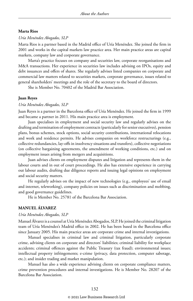#### **Marta Rios**

#### *Uría Menéndez Abogados, SLP*

Marta Rios is a partner based in the Madrid office of Uría Menéndez. She joined the firm in 2001 and works in the capital markets law practice area. Her main practice areas are capital markets, company law and corporate governance.

Marta's practice focuses on company and securities law, corporate reorganisations and M&A transactions. Her experience in securities law includes advising on IPOs, equity and debt issuances and offers of shares. She regularly advises listed companies on corporate and commercial law matters related to securities markets, corporate governance, issues related to general shareholders' meetings and the role of the secretary to the board of directors.

She is Member No. 70402 of the Madrid Bar Association.

#### **Juan Reyes**

#### *Uría Menéndez Abogados, SLP*

Juan Reyes is a partner in the Barcelona office of Uría Menéndez. He joined the firm in 1999 and became a partner in 2011. His main practice area is employment.

Juan specialises in employment and social security law and regularly advises on the drafting and termination of employment contracts (particularly for senior executives), pension plans, bonus schemes, stock options, social security contributions, international relocations and work and residence permits. He advises companies on workforce restructurings (e.g., collective redundancies, lay-offs in insolvency situations and transfers), collective negotiations (on collective bargaining agreements, the amendment of working conditions, etc.) and on employment issues arising from mergers and acquisitions.

Juan advises clients on employment disputes and litigation and represents them in the labour courts and in out of court proceedings. He also has extensive experience in carrying out labour audits, drafting due diligence reports and issuing legal opinions on employment and social security matters.

He regularly advises on the impact of new technologies (e.g., employees' use of email and internet, teleworking), company policies on issues such as discrimination and mobbing, and good governance guidelines.

He is Member No. 25781 of the Barcelona Bar Association.

#### **MANUEL ÁLVAREZ**

#### *Uría Menéndez Abogados, SLP*

Manuel Álvarez is a counsel at Uría Menéndez Abogados, SLP. He joined the criminal litigation team of Uría Menéndez's Madrid office in 2002. He has been based in the Barcelona office since January 2005. His main practice areas are corporate crime and internal investigations.

Manuel specialises in criminal law and criminal litigation, particularly corporate crime, advising clients on corporate and directors' liabilities; criminal liability for workplace accidents; criminal offences against the Public Treasury (tax fraud); environmental issues; intellectual property infringements; e-crime (privacy, data protection, computer sabotage, etc.); and insider trading and market manipulation.

Manuel has also a wide experience advising clients on corporate compliance matters, crime prevention procedures and internal investigations. He is Member No. 28207 of the Barcelona Bar Association.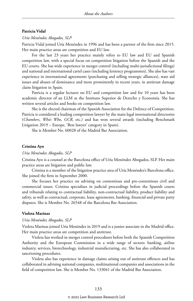#### **Patricia Vidal**

#### *Uría Menéndez Abogados, SLP*

Patricia Vidal joined Uría Menéndez in 1996 and has been a partner of the firm since 2015. Her main practice areas are competition and EU law.

For the last 23 years her practice mainly refers to EU law and EU and Spanish competition law, with a special focus on competition litigation before the Spanish and the EU courts. She has wide experience in merger control (including multi-jurisdictional filings) and national and international cartel cases (including leniency programmes). She also has vast experience in international agreements (purchasing and selling strategic alliances), state aid issues and abuses of dominance and more prominently in recent years, in antitrust damage claim litigation in Spain.

Patricia is a regular lecturer on EU and competition law and for 10 years has been academic director of an LLM at the Instituto Superior de Derecho y Economía. She has written several articles and books on competition law.

She is the elected chairman of the Spanish Association for the Defence of Competition. Patricia is considered a leading competition lawyer by the main legal international directories (*Chambers*, *Who's Who*, *GCR*, etc.) and has won several awards (including Benchmark Litigation 2019 – Europe, 'Best lawyer' category in Spain).

She is Member No. 60028 of the Madrid Bar Association.

#### **Cristina Ayo**

#### *Uría Menéndez Abogados, SLP*

Cristina Ayo is a counsel at the Barcelona office of Uría Menéndez Abogados, SLP. Her main practice areas are litigation and public law.

Cristina is a member of the litigation practice area of Uría Menéndez's Barcelona office. She joined the firm in September 2000.

She focuses her practice on advising on contentious and pre-contentious civil and commercial issues. Cristina specialises in judicial proceedings before the Spanish courts and tribunals relating to contractual liability, non-contractual liability, product liability and safety, as well as contractual, corporate, lease agreements, banking, financial and private party disputes. She is Member No. 26548 of the Barcelona Bar Association.

#### **Violeta Marinas**

#### *Uría Menéndez Abogados, SLP*

Violeta Marinas joined Uría Menéndez in 2019 and is a junior associate in the Madrid office. Her main practice areas are competition and antitrust.

Violeta has worked in merger control procedures before both the Spanish Competition Authority and the European Commission in a wide range of sectors: banking, airline industry, services, biotechnology, industrial manufacturing, etc. She has also collaborated in sanctioning procedures.

Violeta also has experience in damage claims arising out of antitrust offences and has collaborated in advising national companies, multinational companies and associations in the field of competition law. She is Member No. 133041 of the Madrid Bar Association.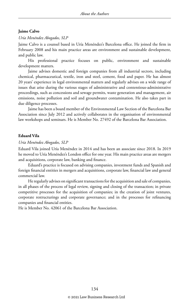#### **Jaime Calvo**

#### *Uría Menéndez Abogados, SLP*

Jaime Calvo is a counsel based in Uría Menéndez's Barcelona office. He joined the firm in February 2008 and his main practice areas are environment and sustainable development, and public law.

His professional practice focuses on public, environment and sustainable development matters.

Jaime advises domestic and foreign companies from all industrial sectors, including chemical, pharmaceutical, textile, iron and steel, cement, food and paper. He has almost 20 years' experience in legal environmental matters and regularly advises on a wide range of issues that arise during the various stages of administrative and contentious-administrative proceedings, such as concessions and sewage permits, waste generation and management, air emissions, noise pollution and soil and groundwater contamination. He also takes part in due diligence processes.

Jaime has been a board member of the Environmental Law Section of the Barcelona Bar Association since July 2012 and actively collaborates in the organisation of environmental law workshops and seminars. He is Member No. 27492 of the Barcelona Bar Association.

#### **Eduard Vila**

#### *Uría Menéndez Abogados, SLP*

Eduard Vila joined Uría Menéndez in 2014 and has been an associate since 2018. In 2019 he moved to Uría Menéndez's London office for one year. His main practice areas are mergers and acquisitions, corporate law, banking and finance.

Eduard's practice is focused on advising companies, investment funds and Spanish and foreign financial entities in mergers and acquisitions, corporate law, financial law and general commercial law.

He regularly advises on significant transactions for the acquisition and sale of companies, in all phases of the process of legal review, signing and closing of the transaction; in private competitive processes for the acquisition of companies; in the creation of joint ventures, corporate restructurings and corporate governance; and in the processes for refinancing companies and financial entities.

He is Member No. 42061 of the Barcelona Bar Association.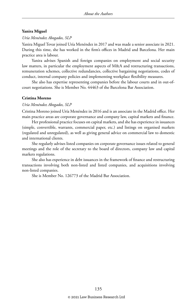#### **Yanira Miguel**

#### *Uría Menéndez Abogados, SLP*

Yanira Miguel Tovar joined Uría Menéndez in 2017 and was made a senior associate in 2021. During this time, she has worked in the firm's offices in Madrid and Barcelona. Her main practice area is labour.

Yanira advises Spanish and foreign companies on employment and social security law matters, in particular the employment aspects of M&A and restructuring transactions, remuneration schemes, collective redundancies, collective bargaining negotiations, codes of conduct, internal company policies and implementing workplace flexibility measures.

She also has expertise representing companies before the labour courts and in out-ofcourt negotiations. She is Member No. 44463 of the Barcelona Bar Association.

#### **Cristina Moreno**

#### *Uría Menéndez Abogados, SLP*

Cristina Moreno joined Uría Menéndez in 2016 and is an associate in the Madrid office. Her main practice areas are corporate governance and company law, capital markets and finance.

Her professional practice focuses on capital markets, and she has experience in issuances (simple, convertible, warrants, commercial paper, etc.) and listings on organised markets (regulated and unregulated), as well as giving general advice on commercial law to domestic and international clients.

She regularly advises listed companies on corporate governance issues related to general meetings and the role of the secretary to the board of directors, company law and capital markets regulations.

She also has experience in debt issuances in the framework of finance and restructuring transactions involving both non-listed and listed companies, and acquisitions involving non-listed companies.

She is Member No. 126773 of the Madrid Bar Association.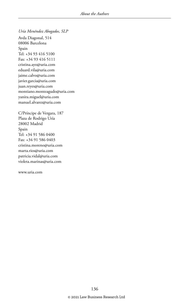*Uría Menéndez Abogados, SLP* Avda Diagonal, 514 08006 Barcelona Spain Tel: +34 93 416 5100 Fax: +34 93 416 5111 cristina.ayo@uria.com eduard.vila@uria.com jaime.calvo@uria.com javier.garcia@uria.com juan.reyes@uria.com montiano.monteagudo@uria.com yanira.miguel@uria.com manuel.alvarez@uria.com

C/Príncipe de Vergara, 187 Plaza de Rodrigo Uría 28002 Madrid Spain Tel: +34 91 586 0400 Fax: +34 91 586 0403 cristina.moreno@uria.com marta.rios@uria.com patricia.vidal@uria.com violeta.marinas@uria.com

www.uria.com